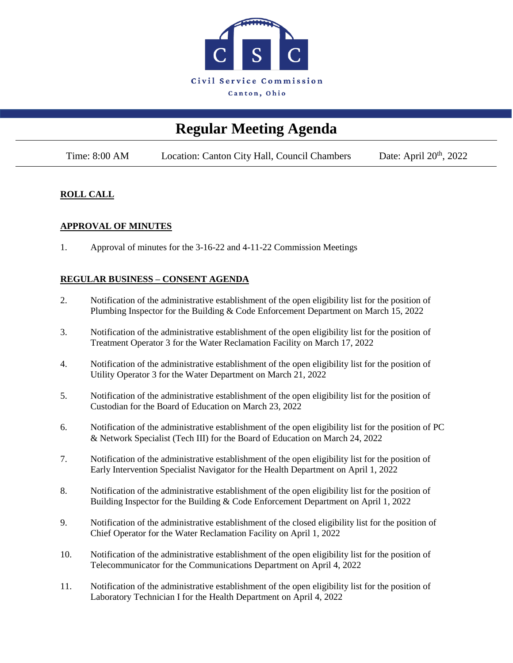

# **Regular Meeting Agenda**

Time: 8:00 AM Location: Canton City Hall, Council Chambers Date: April 20<sup>th</sup>, 2022

### **ROLL CALL**

### **APPROVAL OF MINUTES**

1. Approval of minutes for the 3-16-22 and 4-11-22 Commission Meetings

### **REGULAR BUSINESS – CONSENT AGENDA**

- 2. Notification of the administrative establishment of the open eligibility list for the position of Plumbing Inspector for the Building & Code Enforcement Department on March 15, 2022
- 3. Notification of the administrative establishment of the open eligibility list for the position of Treatment Operator 3 for the Water Reclamation Facility on March 17, 2022
- 4. Notification of the administrative establishment of the open eligibility list for the position of Utility Operator 3 for the Water Department on March 21, 2022
- 5. Notification of the administrative establishment of the open eligibility list for the position of Custodian for the Board of Education on March 23, 2022
- 6. Notification of the administrative establishment of the open eligibility list for the position of PC & Network Specialist (Tech III) for the Board of Education on March 24, 2022
- 7. Notification of the administrative establishment of the open eligibility list for the position of Early Intervention Specialist Navigator for the Health Department on April 1, 2022
- 8. Notification of the administrative establishment of the open eligibility list for the position of Building Inspector for the Building & Code Enforcement Department on April 1, 2022
- 9. Notification of the administrative establishment of the closed eligibility list for the position of Chief Operator for the Water Reclamation Facility on April 1, 2022
- 10. Notification of the administrative establishment of the open eligibility list for the position of Telecommunicator for the Communications Department on April 4, 2022
- 11. Notification of the administrative establishment of the open eligibility list for the position of Laboratory Technician I for the Health Department on April 4, 2022